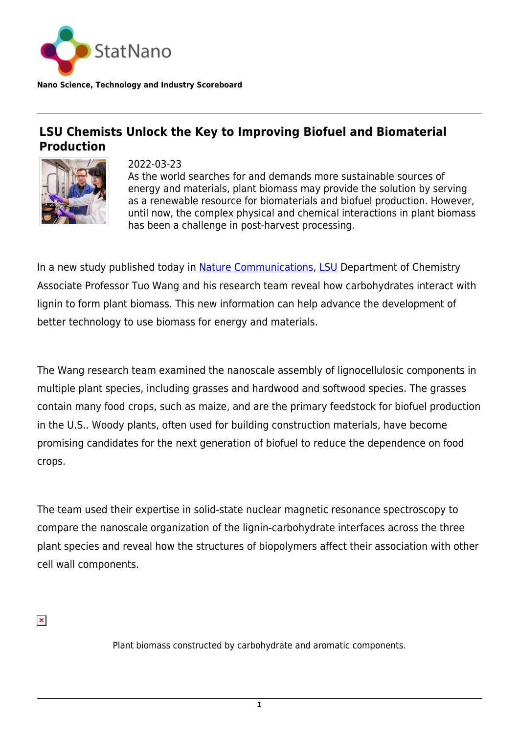

**Nano Science, Technology and Industry Scoreboard**

## **LSU Chemists Unlock the Key to Improving Biofuel and Biomaterial Production**



2022-03-23 As the world searches for and demands more sustainable sources of energy and materials, plant biomass may provide the solution by serving as a renewable resource for biomaterials and biofuel production. However, until now, the complex physical and chemical interactions in plant biomass has been a challenge in post-harvest processing.

In a new study published today in [Nature Communications](https://statnano.com/10.1038/s41467-022-28165-3), [LSU](https://statnano.com/org/Louisiana-State-University) Department of Chemistry Associate Professor Tuo Wang and his research team reveal how carbohydrates interact with lignin to form plant biomass. This new information can help advance the development of better technology to use biomass for energy and materials.

The Wang research team examined the nanoscale assembly of lignocellulosic components in multiple plant species, including grasses and hardwood and softwood species. The grasses contain many food crops, such as maize, and are the primary feedstock for biofuel production in the U.S.. Woody plants, often used for building construction materials, have become promising candidates for the next generation of biofuel to reduce the dependence on food crops.

The team used their expertise in solid-state nuclear magnetic resonance spectroscopy to compare the nanoscale organization of the lignin-carbohydrate interfaces across the three plant species and reveal how the structures of biopolymers affect their association with other cell wall components.

 $\pmb{\times}$ 

Plant biomass constructed by carbohydrate and aromatic components.